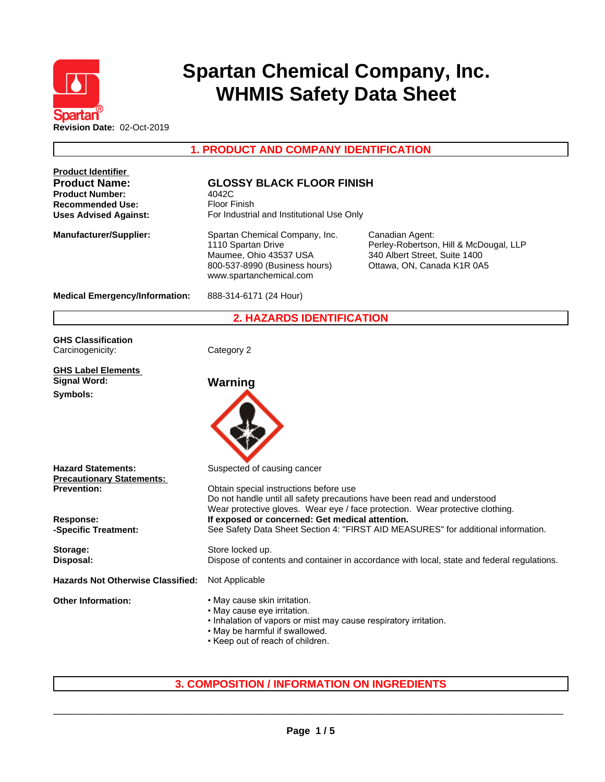

# **Spartan Chemical Company, Inc. WHMIS Safety Data Sheet**

**1. PRODUCT AND COMPANY IDENTIFICATION**

| <b>Product Identifier</b><br><b>Product Name:</b><br><b>Product Number:</b><br><b>Recommended Use:</b><br><b>Uses Advised Against:</b> | <b>GLOSSY BLACK FLOOR FINISH</b><br>4042C<br><b>Floor Finish</b><br>For Industrial and Institutional Use Only                                                                                         |                                                                                                                                                           |  |
|----------------------------------------------------------------------------------------------------------------------------------------|-------------------------------------------------------------------------------------------------------------------------------------------------------------------------------------------------------|-----------------------------------------------------------------------------------------------------------------------------------------------------------|--|
| <b>Manufacturer/Supplier:</b>                                                                                                          | Spartan Chemical Company, Inc.<br>1110 Spartan Drive<br>Maumee, Ohio 43537 USA<br>800-537-8990 (Business hours)<br>www.spartanchemical.com                                                            | Canadian Agent:<br>Perley-Robertson, Hill & McDougal, LLP<br>340 Albert Street, Suite 1400<br>Ottawa, ON, Canada K1R 0A5                                  |  |
| <b>Medical Emergency/Information:</b>                                                                                                  | 888-314-6171 (24 Hour)                                                                                                                                                                                |                                                                                                                                                           |  |
|                                                                                                                                        | <b>2. HAZARDS IDENTIFICATION</b>                                                                                                                                                                      |                                                                                                                                                           |  |
| <b>GHS Classification</b><br>Carcinogenicity:                                                                                          | Category 2                                                                                                                                                                                            |                                                                                                                                                           |  |
| <b>GHS Label Elements</b><br><b>Signal Word:</b><br>Symbols:                                                                           | Warning                                                                                                                                                                                               |                                                                                                                                                           |  |
| <b>Hazard Statements:</b><br><b>Precautionary Statements:</b><br><b>Prevention:</b><br>Response:                                       | Suspected of causing cancer<br>Obtain special instructions before use                                                                                                                                 | Do not handle until all safety precautions have been read and understood<br>Wear protective gloves. Wear eye / face protection. Wear protective clothing. |  |
| -Specific Treatment:                                                                                                                   | If exposed or concerned: Get medical attention.<br>See Safety Data Sheet Section 4: "FIRST AID MEASURES" for additional information.                                                                  |                                                                                                                                                           |  |
| Storage:<br>Disposal:                                                                                                                  | Store locked up.<br>Dispose of contents and container in accordance with local, state and federal regulations.                                                                                        |                                                                                                                                                           |  |
| <b>Hazards Not Otherwise Classified:</b>                                                                                               | Not Applicable                                                                                                                                                                                        |                                                                                                                                                           |  |
| <b>Other Information:</b>                                                                                                              | • May cause skin irritation.<br>• May cause eye irritation.<br>. Inhalation of vapors or mist may cause respiratory irritation.<br>. May be harmful if swallowed.<br>• Keep out of reach of children. |                                                                                                                                                           |  |

# **3. COMPOSITION / INFORMATION ON INGREDIENTS**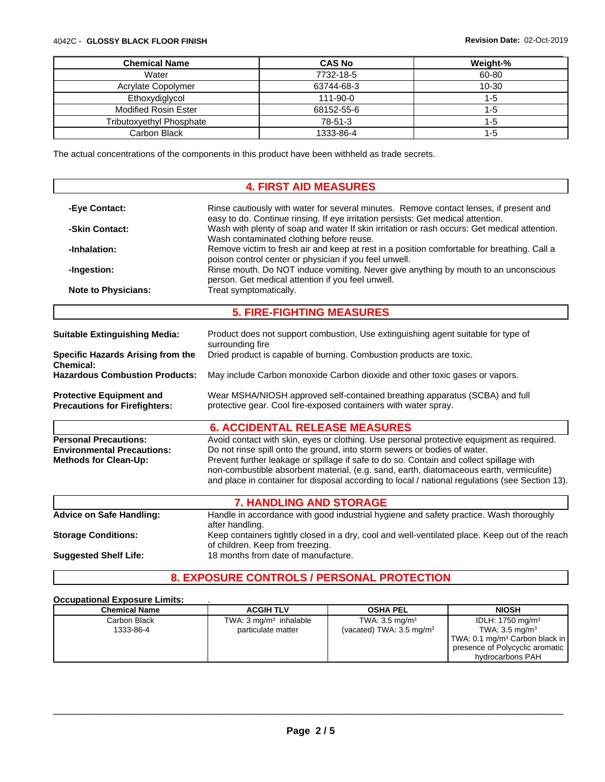#### 4042C - **GLOSSY BLACK FLOOR FINISH Revision Date:** 02-Oct-2019

| <b>Chemical Name</b>            | <b>CAS No</b> | Weight-%  |
|---------------------------------|---------------|-----------|
| Water                           | 7732-18-5     | 60-80     |
| Acrylate Copolymer              | 63744-68-3    | $10 - 30$ |
| Ethoxydiglycol                  | 111-90-0      |           |
| Modified Rosin Ester            | 68152-55-6    |           |
| <b>Tributoxyethyl Phosphate</b> | 78-51-3       | -b        |
| Carbon Black                    | 1333-86-4     |           |

The actual concentrations of the components in this product have been withheld as trade secrets.

#### **4. FIRST AID MEASURES -Eye Contact:** Rinse cautiously with water for several minutes. Remove contact lenses, if present and easy to do. Continue rinsing. If eye irritation persists: Get medical attention. **-Skin Contact:** Wash with plenty of soap and water If skin irritation or rash occurs: Get medical attention. Wash contaminated clothing before reuse. **-Inhalation:** Remove victim to fresh air and keep at rest in a position comfortable for breathing. Call a poison control center or physician if you feel unwell. **-Ingestion:** Rinse mouth. Do NOT induce vomiting. Never give anything by mouth to an unconscious person. Get medical attention if you feel unwell. **Note to Physicians:** Treat symptomatically. **5. FIRE-FIGHTING MEASURES Suitable Extinguishing Media:** Product does not support combustion, Use extinguishing agent suitable for type of surrounding fire **Specific Hazards Arising from the Chemical:** Dried product is capable of burning. Combustion products are toxic. **Hazardous Combustion Products:** May include Carbon monoxide Carbon dioxide and other toxic gases or vapors. **Protective Equipment and Precautions for Firefighters:** Wear MSHA/NIOSH approved self-contained breathing apparatus (SCBA) and full protective gear. Cool fire-exposed containers with water spray. **6. ACCIDENTAL RELEASE MEASURES Personal Precautions:** Avoid contact with skin, eyes or clothing. Use personal protective equipment as required. **Environmental Precautions:** Do not rinse spill onto the ground, into storm sewers or bodies of water. **Methods for Clean-Up:** Prevent further leakage or spillage if safe to do so. Contain and collect spillage with non-combustible absorbent material, (e.g. sand, earth, diatomaceous earth, vermiculite) and place in container for disposal according to local / national regulations (see Section 13). **7. HANDLING AND STORAGE Advice on Safe Handling:** Handle in accordance with good industrial hygiene and safety practice. Wash thoroughly after handling. **Storage Conditions:** Keep containers tightly closed in a dry, cool and well-ventilated place. Keep out of the reach of children. Keep from freezing. **Suggested Shelf Life:** 18 months from date of manufacture.

## **8. EXPOSURE CONTROLS / PERSONAL PROTECTION**

#### **Occupational Exposure Limits:** .

| <b>Chemical Name</b> | <b>ACGIH TLV</b>                  | <b>OSHA PEL</b>                     | <b>NIOSH</b>                               |
|----------------------|-----------------------------------|-------------------------------------|--------------------------------------------|
| Carbon Black         | TWA: $3 \text{ mg/m}^3$ inhalable | TWA: $3.5 \text{ mg/m}^3$           | IDLH: $1750$ mg/m <sup>3</sup>             |
| 1333-86-4            | particulate matter                | (vacated) TWA: $3.5 \text{ mg/m}^3$ | TWA: $3.5 \text{ mg/m}^3$                  |
|                      |                                   |                                     | TWA: 0.1 mg/m <sup>3</sup> Carbon black in |
|                      |                                   |                                     | presence of Polycyclic aromatic            |
|                      |                                   |                                     | hydrocarbons PAH                           |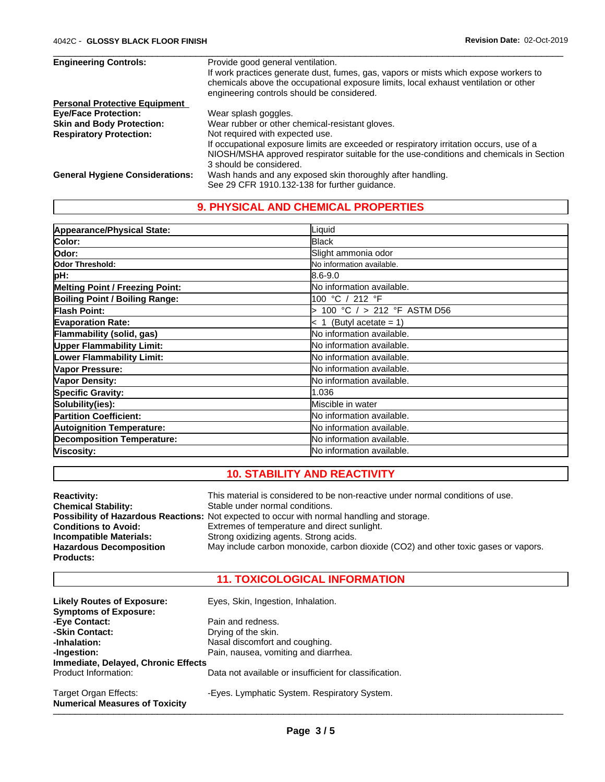| <b>Engineering Controls:</b>           | Provide good general ventilation.                                                       |
|----------------------------------------|-----------------------------------------------------------------------------------------|
|                                        | If work practices generate dust, fumes, gas, vapors or mists which expose workers to    |
|                                        | chemicals above the occupational exposure limits, local exhaust ventilation or other    |
|                                        | engineering controls should be considered.                                              |
| <b>Personal Protective Equipment</b>   |                                                                                         |
| <b>Eve/Face Protection:</b>            | Wear splash goggles.                                                                    |
| <b>Skin and Body Protection:</b>       | Wear rubber or other chemical-resistant gloves.                                         |
| <b>Respiratory Protection:</b>         | Not required with expected use.                                                         |
|                                        | If occupational exposure limits are exceeded or respiratory irritation occurs, use of a |
|                                        | NIOSH/MSHA approved respirator suitable for the use-conditions and chemicals in Section |
|                                        | 3 should be considered.                                                                 |
| <b>General Hygiene Considerations:</b> | Wash hands and any exposed skin thoroughly after handling.                              |
|                                        | See 29 CFR 1910.132-138 for further guidance.                                           |

 $\overline{\phantom{a}}$  ,  $\overline{\phantom{a}}$  ,  $\overline{\phantom{a}}$  ,  $\overline{\phantom{a}}$  ,  $\overline{\phantom{a}}$  ,  $\overline{\phantom{a}}$  ,  $\overline{\phantom{a}}$  ,  $\overline{\phantom{a}}$  ,  $\overline{\phantom{a}}$  ,  $\overline{\phantom{a}}$  ,  $\overline{\phantom{a}}$  ,  $\overline{\phantom{a}}$  ,  $\overline{\phantom{a}}$  ,  $\overline{\phantom{a}}$  ,  $\overline{\phantom{a}}$  ,  $\overline{\phantom{a}}$ 

# **9. PHYSICAL AND CHEMICAL PROPERTIES**

| Appearance/Physical State:            | Liquid                     |
|---------------------------------------|----------------------------|
| Color:                                | Black                      |
| lOdor:                                | Slight ammonia odor        |
| Odor Threshold:                       | No information available.  |
| pH:                                   | 8.6-9.0                    |
| Melting Point / Freezing Point:       | No information available.  |
| <b>Boiling Point / Boiling Range:</b> | 100 °C / 212 °F            |
| <b>Flash Point:</b>                   | 100 °C / > 212 °F ASTM D56 |
| <b>Evaporation Rate:</b>              | $< 1$ (Butyl acetate = 1)  |
| Flammability (solid, gas)             | No information available.  |
| <b>Upper Flammability Limit:</b>      | No information available.  |
| <b>Lower Flammability Limit:</b>      | No information available.  |
| Vapor Pressure:                       | No information available.  |
| Vapor Density:                        | lNo information available. |
| <b>Specific Gravity:</b>              | 1.036                      |
| Solubility(ies):                      | Miscible in water          |
| <b>Partition Coefficient:</b>         | No information available.  |
| <b>Autoignition Temperature:</b>      | No information available.  |
| <b>Decomposition Temperature:</b>     | lNo information available. |
| Viscosity:                            | lNo information available. |

# **10. STABILITY AND REACTIVITY**

| <b>Reactivity:</b>             | This material is considered to be non-reactive under normal conditions of use.              |
|--------------------------------|---------------------------------------------------------------------------------------------|
| <b>Chemical Stability:</b>     | Stable under normal conditions.                                                             |
|                                | Possibility of Hazardous Reactions: Not expected to occur with normal handling and storage. |
| <b>Conditions to Avoid:</b>    | Extremes of temperature and direct sunlight.                                                |
| <b>Incompatible Materials:</b> | Strong oxidizing agents. Strong acids.                                                      |
| <b>Hazardous Decomposition</b> | May include carbon monoxide, carbon dioxide (CO2) and other toxic gases or vapors.          |
| <b>Products:</b>               |                                                                                             |

## **11. TOXICOLOGICAL INFORMATION**

| <b>Likely Routes of Exposure:</b><br><b>Symptoms of Exposure:</b> | Eyes, Skin, Ingestion, Inhalation.                     |
|-------------------------------------------------------------------|--------------------------------------------------------|
| -Eye Contact:                                                     | Pain and redness.                                      |
| -Skin Contact:                                                    | Drying of the skin.                                    |
| -Inhalation:                                                      | Nasal discomfort and coughing.                         |
| -Ingestion:                                                       | Pain, nausea, vomiting and diarrhea.                   |
| Immediate, Delayed, Chronic Effects                               |                                                        |
| Product Information:                                              | Data not available or insufficient for classification. |
| Target Organ Effects:<br><b>Numerical Measures of Toxicity</b>    | -Eyes. Lymphatic System. Respiratory System.           |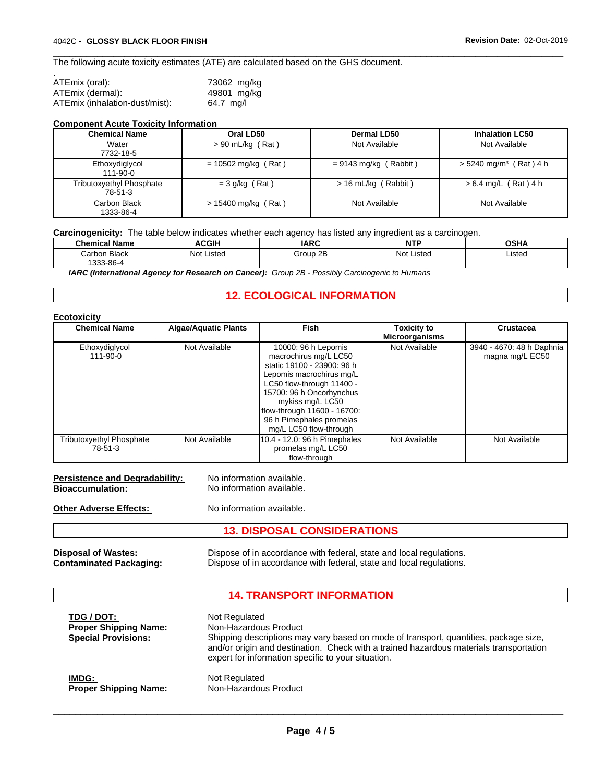The following acute toxicity estimates (ATE) are calculated based on the GHS document.

| ATEmix (oral):                 | 73062 mg/kg |
|--------------------------------|-------------|
| ATEmix (dermal):               | 49801 mg/kg |
| ATEmix (inhalation-dust/mist): | 64.7 ma/l   |

#### **Component Acute Toxicity Information**

| <b>Chemical Name</b>                       | Oral LD50             | <b>Dermal LD50</b>      | <b>Inhalation LC50</b>               |
|--------------------------------------------|-----------------------|-------------------------|--------------------------------------|
| Water<br>7732-18-5                         | $> 90$ mL/kg (Rat)    | Not Available           | Not Available                        |
| Ethoxydiglycol<br>111-90-0                 | $= 10502$ mg/kg (Rat) | $= 9143$ mg/kg (Rabbit) | $>$ 5240 mg/m <sup>3</sup> (Rat) 4 h |
| <b>Tributoxyethyl Phosphate</b><br>78-51-3 | $=$ 3 g/kg (Rat)      | $> 16$ mL/kg (Rabbit)   | $> 6.4$ mg/L (Rat) 4 h               |
| Carbon Black<br>1333-86-4                  | > 15400 mg/kg (Rat)   | Not Available           | Not Available                        |

 $\overline{\phantom{a}}$  ,  $\overline{\phantom{a}}$  ,  $\overline{\phantom{a}}$  ,  $\overline{\phantom{a}}$  ,  $\overline{\phantom{a}}$  ,  $\overline{\phantom{a}}$  ,  $\overline{\phantom{a}}$  ,  $\overline{\phantom{a}}$  ,  $\overline{\phantom{a}}$  ,  $\overline{\phantom{a}}$  ,  $\overline{\phantom{a}}$  ,  $\overline{\phantom{a}}$  ,  $\overline{\phantom{a}}$  ,  $\overline{\phantom{a}}$  ,  $\overline{\phantom{a}}$  ,  $\overline{\phantom{a}}$ 

### **Carcinogenicity:** The table below indicates whether each agency has listed any ingredient as a carcinogen.

| <b>Chemical Name</b>                       | <b>ACGIH</b>                  | <b>IARC</b> | <b>NITD</b><br>. | <b>OSHA</b> |
|--------------------------------------------|-------------------------------|-------------|------------------|-------------|
| <b>Black</b><br>شarbon.<br>$1333 - 86 - 4$ | ∴ t∩l ∿<br>.isted<br>1UI<br>. | Group 2B    | Not<br>Listec    | Listed      |

*IARC (International Agency for Research on Cancer): Group 2B - Possibly Carcinogenic to Humans*

# **12. ECOLOGICAL INFORMATION**

| <b>Ecotoxicity</b>                         |                             |                                                                                                                                                                                                                                                                          |                                             |                                              |
|--------------------------------------------|-----------------------------|--------------------------------------------------------------------------------------------------------------------------------------------------------------------------------------------------------------------------------------------------------------------------|---------------------------------------------|----------------------------------------------|
| <b>Chemical Name</b>                       | <b>Algae/Aquatic Plants</b> | Fish                                                                                                                                                                                                                                                                     | <b>Toxicity to</b><br><b>Microorganisms</b> | <b>Crustacea</b>                             |
| Ethoxydiglycol<br>111-90-0                 | Not Available               | 10000: 96 h Lepomis<br>macrochirus mg/L LC50<br>static 19100 - 23900: 96 h<br>Lepomis macrochirus mg/L<br>LC50 flow-through 11400 -<br>15700: 96 h Oncorhynchus<br>mykiss mg/L LC50<br>flow-through 11600 - 16700:<br>96 h Pimephales promelas<br>mg/L LC50 flow-through | Not Available                               | 3940 - 4670: 48 h Daphnia<br>magna mg/L EC50 |
| <b>Tributoxyethyl Phosphate</b><br>78-51-3 | Not Available               | 10.4 - 12.0: 96 h Pimephales<br>promelas mg/L LC50<br>flow-through                                                                                                                                                                                                       | Not Available                               | Not Available                                |

| Persistence and Degradability: | No information available. |
|--------------------------------|---------------------------|
| Bioaccumulation:               | No information available. |

**Other Adverse Effects:** No information available.

**13. DISPOSAL CONSIDERATIONS**

**Disposal of Wastes:** Dispose of in accordance with federal, state and local regulations. **Contaminated Packaging:** Dispose of in accordance with federal, state and local regulations.

## **14. TRANSPORT INFORMATION**

| TDG / DOT:<br><b>Proper Shipping Name:</b><br><b>Special Provisions:</b> | Not Regulated<br>Non-Hazardous Product<br>Shipping descriptions may vary based on mode of transport, quantities, package size,<br>and/or origin and destination. Check with a trained hazardous materials transportation<br>expert for information specific to your situation. |
|--------------------------------------------------------------------------|--------------------------------------------------------------------------------------------------------------------------------------------------------------------------------------------------------------------------------------------------------------------------------|
| IMDG:                                                                    | Not Regulated                                                                                                                                                                                                                                                                  |
| <b>Proper Shipping Name:</b>                                             | Non-Hazardous Product                                                                                                                                                                                                                                                          |